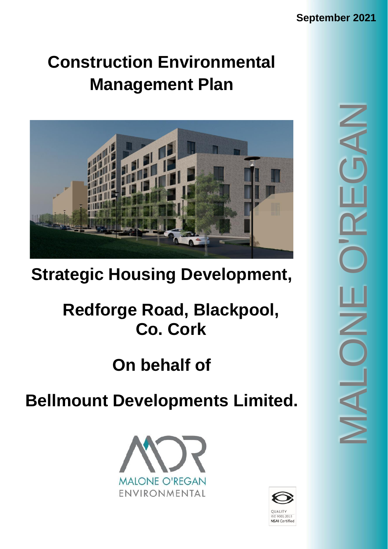# **Construction Environmental Management Plan**



# **Strategic Housing Development,**

# **Redforge Road, Blackpool, Co. Cork**

# **On behalf of**

# **Bellmount Developments Limited.**



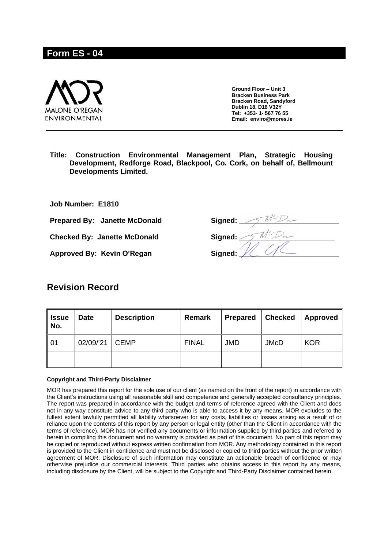# **Form ES - 04**



**Ground Floor – Unit 3 Bracken Business Park Bracken Road, Sandyford Dublin 18, D18 V32Y Tel: +353- 1- 567 76 55 Email: enviro@mores.ie**

**Title: Construction Environmental Management Plan, Strategic Housing Development, Redforge Road, Blackpool, Co. Cork, on behalf of, Bellmount Developments Limited.**

**Job Number: E1810**

**Prepared By: Janette McDonald Signed:**  $\sqrt{M^2 D_{\nu-1}}$ 

Approved By: Kevin O'Regan **Signed:** 

# **Revision Record**

| <b>Issue</b><br>No. | <b>Date</b> | <b>Description</b> | Remark       | <b>Prepared</b> | <b>Checked</b> | Approved   |
|---------------------|-------------|--------------------|--------------|-----------------|----------------|------------|
| 01                  | 02/09/'21   | <b>CEMP</b>        | <b>FINAL</b> | <b>JMD</b>      | <b>JMcD</b>    | <b>KOR</b> |
|                     |             |                    |              |                 |                |            |

#### **Copyright and Third-Party Disclaimer**

MOR has prepared this report for the sole use of our client (as named on the front of the report) in accordance with the Client's instructions using all reasonable skill and competence and generally accepted consultancy principles. The report was prepared in accordance with the budget and terms of reference agreed with the Client and does not in any way constitute advice to any third party who is able to access it by any means. MOR excludes to the fullest extent lawfully permitted all liability whatsoever for any costs, liabilities or losses arising as a result of or reliance upon the contents of this report by any person or legal entity (other than the Client in accordance with the terms of reference). MOR has not verified any documents or information supplied by third parties and referred to herein in compiling this document and no warranty is provided as part of this document. No part of this report may be copied or reproduced without express written confirmation from MOR. Any methodology contained in this report is provided to the Client in confidence and must not be disclosed or copied to third parties without the prior written agreement of MOR. Disclosure of such information may constitute an actionable breach of confidence or may otherwise prejudice our commercial interests. Third parties who obtains access to this report by any means, including disclosure by the Client, will be subject to the Copyright and Third-Party Disclaimer contained herein.

**Checked By: Janette McDonald Signed:**  $\sqrt{M^2 D_{\nu-1}}$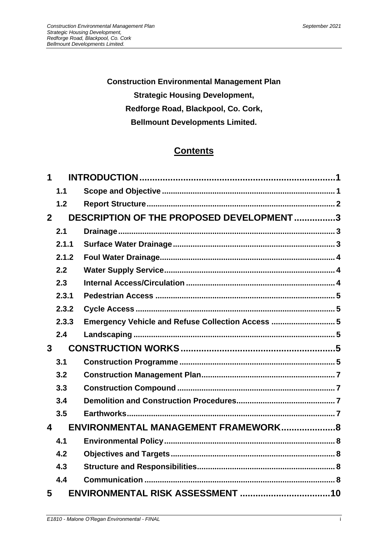**Construction Environmental Management Plan Strategic Housing Development, Redforge Road, Blackpool, Co. Cork, Bellmount Developments Limited.**

# **Contents**

| 1              |       |                                                   |  |
|----------------|-------|---------------------------------------------------|--|
|                | 1.1   |                                                   |  |
|                | 1.2   |                                                   |  |
| $\overline{2}$ |       | DESCRIPTION OF THE PROPOSED DEVELOPMENT 3         |  |
|                | 2.1   |                                                   |  |
|                | 2.1.1 |                                                   |  |
|                | 2.1.2 |                                                   |  |
|                | 2.2   |                                                   |  |
|                | 2.3   |                                                   |  |
|                | 2.3.1 |                                                   |  |
|                | 2.3.2 |                                                   |  |
|                | 2.3.3 | Emergency Vehicle and Refuse Collection Access  5 |  |
|                | 2.4   |                                                   |  |
| 3              |       |                                                   |  |
|                | 3.1   |                                                   |  |
|                | 3.2   |                                                   |  |
|                | 3.3   |                                                   |  |
|                | 3.4   |                                                   |  |
|                | 3.5   |                                                   |  |
| 4              |       | ENVIRONMENTAL MANAGEMENT FRAMEWORK8               |  |
|                | 4.1   |                                                   |  |
|                | 4.2   |                                                   |  |
|                | 4.3   |                                                   |  |
|                | 4.4   |                                                   |  |
| 5              |       |                                                   |  |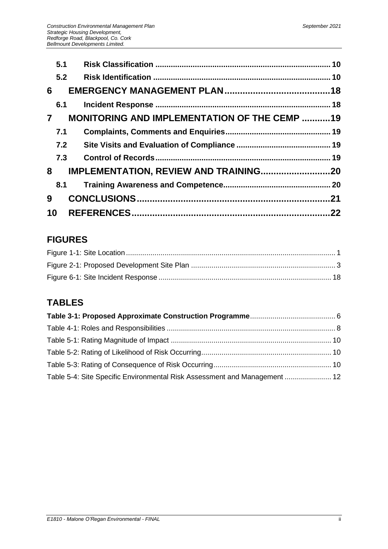|                | 5.1 |                                                     |  |
|----------------|-----|-----------------------------------------------------|--|
|                | 5.2 |                                                     |  |
| 6              |     |                                                     |  |
|                | 6.1 |                                                     |  |
| $\overline{7}$ |     | <b>MONITORING AND IMPLEMENTATION OF THE CEMP 19</b> |  |
|                | 7.1 |                                                     |  |
|                | 7.2 |                                                     |  |
|                | 7.3 |                                                     |  |
| 8              |     | IMPLEMENTATION, REVIEW AND TRAINING20               |  |
|                | 8.1 |                                                     |  |
| 9              |     |                                                     |  |
| 10             |     |                                                     |  |

# **FIGURES**

# **TABLES**

| Table 5-4: Site Specific Environmental Risk Assessment and Management  12 |  |
|---------------------------------------------------------------------------|--|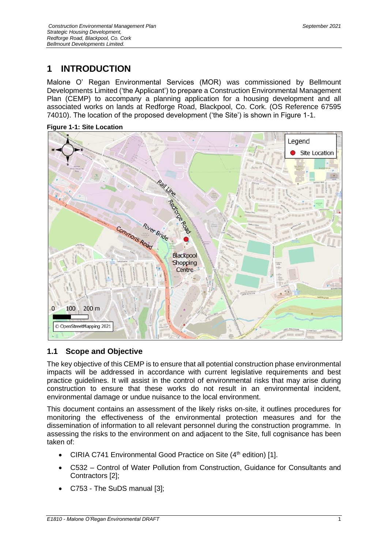# <span id="page-6-0"></span>**1 INTRODUCTION**

Malone O' Regan Environmental Services (MOR) was commissioned by Bellmount Developments Limited ('the Applicant') to prepare a Construction Environmental Management Plan (CEMP) to accompany a planning application for a housing development and all associated works on lands at Redforge Road, Blackpool, Co. Cork. (OS Reference 67595 74010). The location of the proposed development ('the Site') is shown in Figure 1-1.



<span id="page-6-2"></span>**Figure 1-1: Site Location**

# <span id="page-6-1"></span>**1.1 Scope and Objective**

The key objective of this CEMP is to ensure that all potential construction phase environmental impacts will be addressed in accordance with current legislative requirements and best practice guidelines. It will assist in the control of environmental risks that may arise during construction to ensure that these works do not result in an environmental incident, environmental damage or undue nuisance to the local environment.

This document contains an assessment of the likely risks on-site, it outlines procedures for monitoring the effectiveness of the environmental protection measures and for the dissemination of information to all relevant personnel during the construction programme. In assessing the risks to the environment on and adjacent to the Site, full cognisance has been taken of:

- CIRIA C741 Environmental Good Practice on Site (4<sup>th</sup> edition) [1].
- C532 Control of Water Pollution from Construction, Guidance for Consultants and Contractors [2];
- C753 The SuDS manual [3];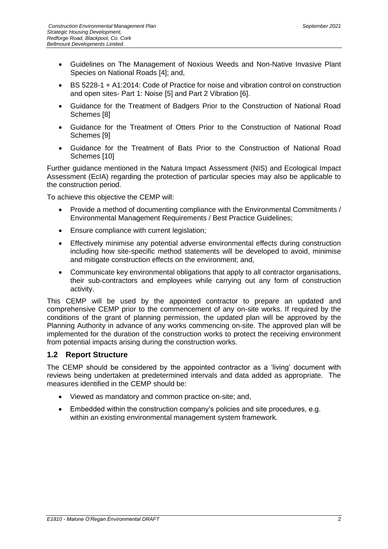- Guidelines on The Management of Noxious Weeds and Non-Native Invasive Plant Species on National Roads [4]; and,
- BS 5228-1 + A1:2014: Code of Practice for noise and vibration control on construction and open sites- Part 1: Noise [5] and Part 2 Vibration [6].
- Guidance for the Treatment of Badgers Prior to the Construction of National Road Schemes [8]
- Guidance for the Treatment of Otters Prior to the Construction of National Road Schemes [9]
- Guidance for the Treatment of Bats Prior to the Construction of National Road Schemes [10]

Further guidance mentioned in the Natura Impact Assessment (NIS) and Ecological Impact Assessment (EcIA) regarding the protection of particular species may also be applicable to the construction period.

To achieve this objective the CEMP will:

- Provide a method of documenting compliance with the Environmental Commitments / Environmental Management Requirements / Best Practice Guidelines;
- Ensure compliance with current legislation;
- Effectively minimise any potential adverse environmental effects during construction including how site-specific method statements will be developed to avoid, minimise and mitigate construction effects on the environment; and,
- Communicate key environmental obligations that apply to all contractor organisations, their sub-contractors and employees while carrying out any form of construction activity.

This CEMP will be used by the appointed contractor to prepare an updated and comprehensive CEMP prior to the commencement of any on-site works. If required by the conditions of the grant of planning permission, the updated plan will be approved by the Planning Authority in advance of any works commencing on-site. The approved plan will be implemented for the duration of the construction works to protect the receiving environment from potential impacts arising during the construction works.

#### <span id="page-7-0"></span>**1.2 Report Structure**

The CEMP should be considered by the appointed contractor as a 'living' document with reviews being undertaken at predetermined intervals and data added as appropriate. The measures identified in the CEMP should be:

- Viewed as mandatory and common practice on-site; and,
- Embedded within the construction company's policies and site procedures, e.g. within an existing environmental management system framework.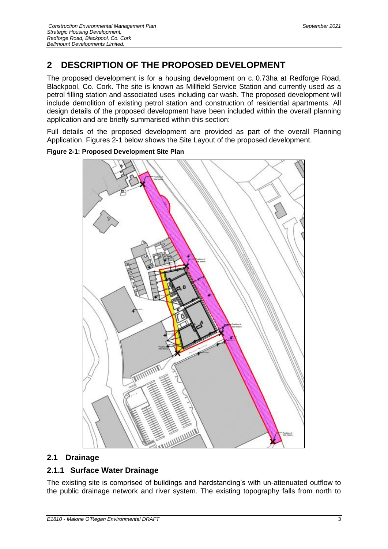# <span id="page-8-0"></span>**2 DESCRIPTION OF THE PROPOSED DEVELOPMENT**

The proposed development is for a housing development on c. 0.73ha at Redforge Road, Blackpool, Co. Cork. The site is known as Millfield Service Station and currently used as a petrol filling station and associated uses including car wash. The proposed development will include demolition of existing petrol station and construction of residential apartments. All design details of the proposed development have been included within the overall planning application and are briefly summarised within this section:

Full details of the proposed development are provided as part of the overall Planning Application. Figures 2-1 below shows the Site Layout of the proposed development.



<span id="page-8-3"></span>**Figure 2-1: Proposed Development Site Plan**

## <span id="page-8-1"></span>**2.1 Drainage**

# <span id="page-8-2"></span>**2.1.1 Surface Water Drainage**

The existing site is comprised of buildings and hardstanding's with un-attenuated outflow to the public drainage network and river system. The existing topography falls from north to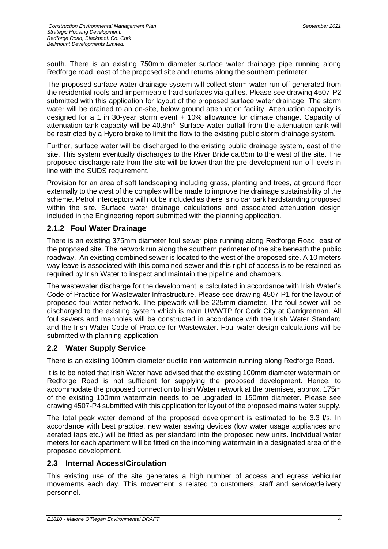south. There is an existing 750mm diameter surface water drainage pipe running along Redforge road, east of the proposed site and returns along the southern perimeter.

The proposed surface water drainage system will collect storm-water run-off generated from the residential roofs and impermeable hard surfaces via gullies. Please see drawing 4507-P2 submitted with this application for layout of the proposed surface water drainage. The storm water will be drained to an on-site, below ground attenuation facility. Attenuation capacity is designed for a 1 in 30-year storm event + 10% allowance for climate change. Capacity of attenuation tank capacity will be  $40.8m<sup>3</sup>$ . Surface water outfall from the attenuation tank will be restricted by a Hydro brake to limit the flow to the existing public storm drainage system.

Further, surface water will be discharged to the existing public drainage system, east of the site. This system eventually discharges to the River Bride ca.85m to the west of the site. The proposed discharge rate from the site will be lower than the pre-development run-off levels in line with the SUDS requirement.

Provision for an area of soft landscaping including grass, planting and trees, at ground floor externally to the west of the complex will be made to improve the drainage sustainability of the scheme. Petrol interceptors will not be included as there is no car park hardstanding proposed within the site. Surface water drainage calculations and associated attenuation design included in the Engineering report submitted with the planning application.

# <span id="page-9-0"></span>**2.1.2 Foul Water Drainage**

There is an existing 375mm diameter foul sewer pipe running along Redforge Road, east of the proposed site. The network run along the southern perimeter of the site beneath the public roadway. An existing combined sewer is located to the west of the proposed site. A 10 meters way leave is associated with this combined sewer and this right of access is to be retained as required by Irish Water to inspect and maintain the pipeline and chambers.

The wastewater discharge for the development is calculated in accordance with Irish Water's Code of Practice for Wastewater Infrastructure. Please see drawing 4507-P1 for the layout of proposed foul water network. The pipework will be 225mm diameter. The foul sewer will be discharged to the existing system which is main UWWTP for Cork City at Carrigrennan. All foul sewers and manholes will be constructed in accordance with the Irish Water Standard and the Irish Water Code of Practice for Wastewater. Foul water design calculations will be submitted with planning application.

## <span id="page-9-1"></span>**2.2 Water Supply Service**

There is an existing 100mm diameter ductile iron watermain running along Redforge Road.

It is to be noted that Irish Water have advised that the existing 100mm diameter watermain on Redforge Road is not sufficient for supplying the proposed development. Hence, to accommodate the proposed connection to Irish Water network at the premises, approx. 175m of the existing 100mm watermain needs to be upgraded to 150mm diameter. Please see drawing 4507-P4 submitted with this application for layout of the proposed mains water supply.

The total peak water demand of the proposed development is estimated to be 3.3 l/s. In accordance with best practice, new water saving devices (low water usage appliances and aerated taps etc.) will be fitted as per standard into the proposed new units. Individual water meters for each apartment will be fitted on the incoming watermain in a designated area of the proposed development.

## <span id="page-9-2"></span>**2.3 Internal Access/Circulation**

This existing use of the site generates a high number of access and egress vehicular movements each day. This movement is related to customers, staff and service/delivery personnel.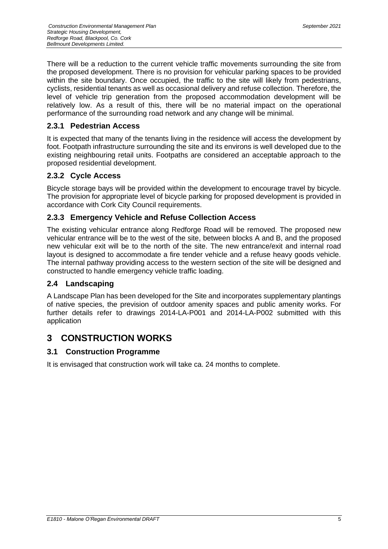There will be a reduction to the current vehicle traffic movements surrounding the site from the proposed development. There is no provision for vehicular parking spaces to be provided within the site boundary. Once occupied, the traffic to the site will likely from pedestrians, cyclists, residential tenants as well as occasional delivery and refuse collection. Therefore, the level of vehicle trip generation from the proposed accommodation development will be relatively low. As a result of this, there will be no material impact on the operational performance of the surrounding road network and any change will be minimal.

## <span id="page-10-0"></span>**2.3.1 Pedestrian Access**

It is expected that many of the tenants living in the residence will access the development by foot. Footpath infrastructure surrounding the site and its environs is well developed due to the existing neighbouring retail units. Footpaths are considered an acceptable approach to the proposed residential development.

## <span id="page-10-1"></span>**2.3.2 Cycle Access**

Bicycle storage bays will be provided within the development to encourage travel by bicycle. The provision for appropriate level of bicycle parking for proposed development is provided in accordance with Cork City Council requirements.

## <span id="page-10-2"></span>**2.3.3 Emergency Vehicle and Refuse Collection Access**

The existing vehicular entrance along Redforge Road will be removed. The proposed new vehicular entrance will be to the west of the site, between blocks A and B, and the proposed new vehicular exit will be to the north of the site. The new entrance/exit and internal road layout is designed to accommodate a fire tender vehicle and a refuse heavy goods vehicle. The internal pathway providing access to the western section of the site will be designed and constructed to handle emergency vehicle traffic loading.

## <span id="page-10-3"></span>**2.4 Landscaping**

A Landscape Plan has been developed for the Site and incorporates supplementary plantings of native species, the prevision of outdoor amenity spaces and public amenity works. For further details refer to drawings 2014-LA-P001 and 2014-LA-P002 submitted with this application

# <span id="page-10-4"></span>**3 CONSTRUCTION WORKS**

## <span id="page-10-5"></span>**3.1 Construction Programme**

It is envisaged that construction work will take ca. 24 months to complete.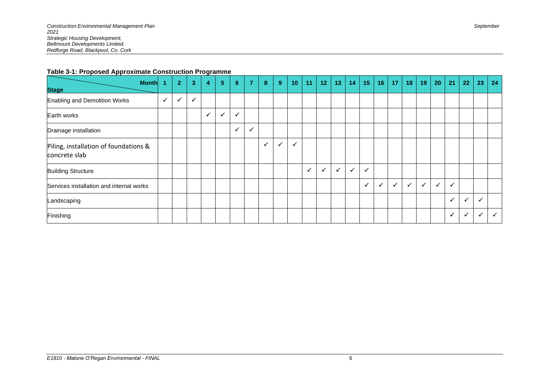#### **Table 3-1: Proposed Approximate Construction Programme**

<span id="page-11-0"></span>

| <b>Month</b><br><b>Stage</b>                           | $\blacktriangleleft$ | 2 <sup>1</sup> | $\overline{\mathbf{3}}$ | 4            | 5 <sup>5</sup> | $6\phantom{1}$ | 7 | $\bf{8}$     | 9            | 10           | 11           | 12           | 13 <sub>1</sub> | 14           | 15           | 16 <sup>1</sup> | 17           | 18           | 19           | 20           | 21           | 22           | 23           | 24           |
|--------------------------------------------------------|----------------------|----------------|-------------------------|--------------|----------------|----------------|---|--------------|--------------|--------------|--------------|--------------|-----------------|--------------|--------------|-----------------|--------------|--------------|--------------|--------------|--------------|--------------|--------------|--------------|
| Enabling and Demolition Works                          | $\checkmark$         | $\checkmark$   | $\checkmark$            |              |                |                |   |              |              |              |              |              |                 |              |              |                 |              |              |              |              |              |              |              |              |
| Earth works                                            |                      |                |                         | $\checkmark$ | ✓              | $\checkmark$   |   |              |              |              |              |              |                 |              |              |                 |              |              |              |              |              |              |              |              |
| Drainage installation                                  |                      |                |                         |              |                | $\checkmark$   | M |              |              |              |              |              |                 |              |              |                 |              |              |              |              |              |              |              |              |
| Piling, installation of foundations &<br>concrete slab |                      |                |                         |              |                |                |   | $\checkmark$ | $\checkmark$ | $\checkmark$ |              |              |                 |              |              |                 |              |              |              |              |              |              |              |              |
| <b>Building Structure</b>                              |                      |                |                         |              |                |                |   |              |              |              | $\checkmark$ | $\checkmark$ | $\checkmark$    | $\checkmark$ | $\checkmark$ |                 |              |              |              |              |              |              |              |              |
| Services installation and internal works               |                      |                |                         |              |                |                |   |              |              |              |              |              |                 |              | $\checkmark$ |                 | $\checkmark$ | $\checkmark$ | $\checkmark$ | $\checkmark$ | $\checkmark$ |              |              |              |
| Landscaping                                            |                      |                |                         |              |                |                |   |              |              |              |              |              |                 |              |              |                 |              |              |              |              | $\checkmark$ | $\checkmark$ | $\checkmark$ |              |
| Finishing                                              |                      |                |                         |              |                |                |   |              |              |              |              |              |                 |              |              |                 |              |              |              |              | $\checkmark$ | $\checkmark$ | $\checkmark$ | $\checkmark$ |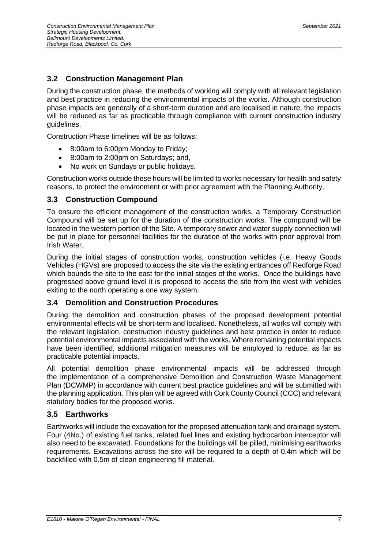## <span id="page-12-0"></span>**3.2 Construction Management Plan**

During the construction phase, the methods of working will comply with all relevant legislation and best practice in reducing the environmental impacts of the works. Although construction phase impacts are generally of a short-term duration and are localised in nature, the impacts will be reduced as far as practicable through compliance with current construction industry guidelines.

Construction Phase timelines will be as follows:

- 8:00am to 6:00pm Monday to Friday;
- 8:00am to 2:00pm on Saturdays; and,
- No work on Sundays or public holidays.

Construction works outside these hours will be limited to works necessary for health and safety reasons, to protect the environment or with prior agreement with the Planning Authority.

#### <span id="page-12-1"></span>**3.3 Construction Compound**

To ensure the efficient management of the construction works, a Temporary Construction Compound will be set up for the duration of the construction works. The compound will be located in the western portion of the Site. A temporary sewer and water supply connection will be put in place for personnel facilities for the duration of the works with prior approval from Irish Water.

During the initial stages of construction works, construction vehicles (i.e. Heavy Goods Vehicles (HGVs) are proposed to access the site via the existing entrances off Redforge Road which bounds the site to the east for the initial stages of the works. Once the buildings have progressed above ground level it is proposed to access the site from the west with vehicles exiting to the north operating a one way system.

#### <span id="page-12-2"></span>**3.4 Demolition and Construction Procedures**

During the demolition and construction phases of the proposed development potential environmental effects will be short-term and localised. Nonetheless, all works will comply with the relevant legislation, construction industry guidelines and best practice in order to reduce potential environmental impacts associated with the works. Where remaining potential impacts have been identified, additional mitigation measures will be employed to reduce, as far as practicable potential impacts.

All potential demolition phase environmental impacts will be addressed through the implementation of a comprehensive Demolition and Construction Waste Management Plan (DCWMP) in accordance with current best practice guidelines and will be submitted with the planning application. This plan will be agreed with Cork County Council (CCC) and relevant statutory bodies for the proposed works.

#### <span id="page-12-3"></span>**3.5 Earthworks**

Earthworks will include the excavation for the proposed attenuation tank and drainage system. Four (4No.) of existing fuel tanks, related fuel lines and existing hydrocarbon interceptor will also need to be excavated. Foundations for the buildings will be pilled, minimising earthworks requirements. Excavations across the site will be required to a depth of 0.4m which will be backfilled with 0.5m of clean engineering fill material.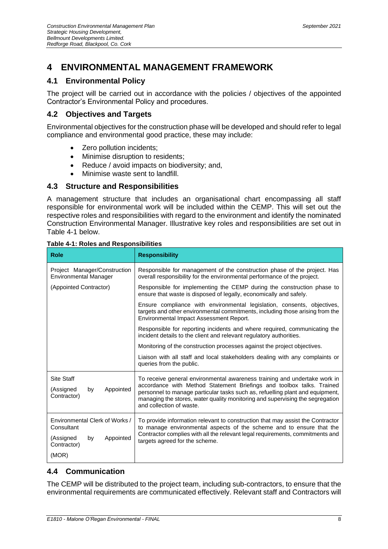# <span id="page-13-0"></span>**4 ENVIRONMENTAL MANAGEMENT FRAMEWORK**

# <span id="page-13-1"></span>**4.1 Environmental Policy**

The project will be carried out in accordance with the policies / objectives of the appointed Contractor's Environmental Policy and procedures.

## <span id="page-13-2"></span>**4.2 Objectives and Targets**

Environmental objectives for the construction phase will be developed and should refer to legal compliance and environmental good practice, these may include:

- Zero pollution incidents;
- Minimise disruption to residents;
- Reduce / avoid impacts on biodiversity; and,
- Minimise waste sent to landfill.

## <span id="page-13-3"></span>**4.3 Structure and Responsibilities**

A management structure that includes an organisational chart encompassing all staff responsible for environmental work will be included within the CEMP. This will set out the respective roles and responsibilities with regard to the environment and identify the nominated Construction Environmental Manager. Illustrative key roles and responsibilities are set out in Table 4-1 below.

| <b>Role</b>                                                                                 | <b>Responsibility</b>                                                                                                                                                                                                                                                                                                                            |  |  |  |  |
|---------------------------------------------------------------------------------------------|--------------------------------------------------------------------------------------------------------------------------------------------------------------------------------------------------------------------------------------------------------------------------------------------------------------------------------------------------|--|--|--|--|
| Project Manager/Construction<br><b>Environmental Manager</b>                                | Responsible for management of the construction phase of the project. Has<br>overall responsibility for the environmental performance of the project.                                                                                                                                                                                             |  |  |  |  |
| (Appointed Contractor)                                                                      | Responsible for implementing the CEMP during the construction phase to<br>ensure that waste is disposed of legally, economically and safely.                                                                                                                                                                                                     |  |  |  |  |
|                                                                                             | Ensure compliance with environmental legislation, consents, objectives,<br>targets and other environmental commitments, including those arising from the<br>Environmental Impact Assessment Report.                                                                                                                                              |  |  |  |  |
|                                                                                             | Responsible for reporting incidents and where required, communicating the<br>incident details to the client and relevant regulatory authorities.                                                                                                                                                                                                 |  |  |  |  |
|                                                                                             | Monitoring of the construction processes against the project objectives.                                                                                                                                                                                                                                                                         |  |  |  |  |
|                                                                                             | Liaison with all staff and local stakeholders dealing with any complaints or<br>queries from the public.                                                                                                                                                                                                                                         |  |  |  |  |
| Site Staff<br>Appointed<br>(Assigned<br>by<br>Contractor)                                   | To receive general environmental awareness training and undertake work in<br>accordance with Method Statement Briefings and toolbox talks. Trained<br>personnel to manage particular tasks such as, refuelling plant and equipment,<br>managing the stores, water quality monitoring and supervising the segregation<br>and collection of waste. |  |  |  |  |
| Environmental Clerk of Works /<br>Consultant<br>Appointed<br>(Assigned<br>by<br>Contractor) | To provide information relevant to construction that may assist the Contractor<br>to manage environmental aspects of the scheme and to ensure that the<br>Contractor complies with all the relevant legal requirements, commitments and<br>targets agreed for the scheme.                                                                        |  |  |  |  |
| (MOR)                                                                                       |                                                                                                                                                                                                                                                                                                                                                  |  |  |  |  |

#### <span id="page-13-5"></span>**Table 4-1: Roles and Responsibilities**

# <span id="page-13-4"></span>**4.4 Communication**

The CEMP will be distributed to the project team, including sub-contractors, to ensure that the environmental requirements are communicated effectively. Relevant staff and Contractors will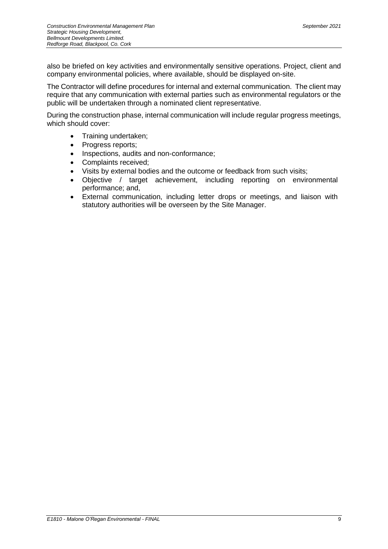also be briefed on key activities and environmentally sensitive operations. Project, client and company environmental policies, where available, should be displayed on-site.

The Contractor will define procedures for internal and external communication. The client may require that any communication with external parties such as environmental regulators or the public will be undertaken through a nominated client representative.

During the construction phase, internal communication will include regular progress meetings, which should cover:

- Training undertaken;
- Progress reports;
- Inspections, audits and non-conformance;
- Complaints received;
- Visits by external bodies and the outcome or feedback from such visits;
- Objective / target achievement, including reporting on environmental performance; and,
- External communication, including letter drops or meetings, and liaison with statutory authorities will be overseen by the Site Manager.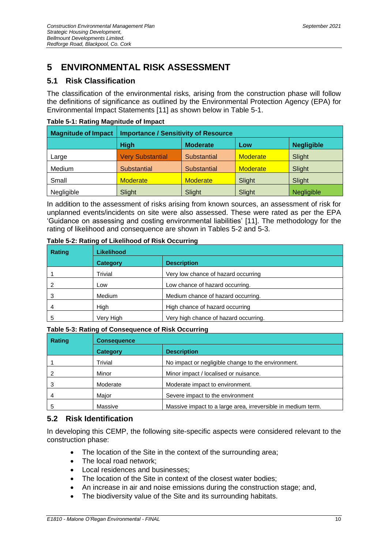# <span id="page-15-0"></span>**5 ENVIRONMENTAL RISK ASSESSMENT**

# <span id="page-15-1"></span>**5.1 Risk Classification**

The classification of the environmental risks, arising from the construction phase will follow the definitions of significance as outlined by the Environmental Protection Agency (EPA) for Environmental Impact Statements [11] as shown below in Table 5-1.

| <b>Magnitude of Impact</b><br><b>Importance / Sensitivity of Resource</b> |                         |                    |                 |                   |  |  |  |  |
|---------------------------------------------------------------------------|-------------------------|--------------------|-----------------|-------------------|--|--|--|--|
|                                                                           | <b>High</b>             | <b>Moderate</b>    | Low             | <b>Negligible</b> |  |  |  |  |
| Large                                                                     | <b>Very Substantial</b> | Substantial        | <b>Moderate</b> | Slight            |  |  |  |  |
| Medium                                                                    | <b>Substantial</b>      | <b>Substantial</b> | <b>Moderate</b> | Slight            |  |  |  |  |
| Small                                                                     | <b>Moderate</b>         | <b>Moderate</b>    | Slight          | Slight            |  |  |  |  |
| Negligible                                                                | Slight                  | Slight             | Slight          | <b>Negligible</b> |  |  |  |  |

#### <span id="page-15-3"></span>**Table 5-1: Rating Magnitude of Impact**

In addition to the assessment of risks arising from known sources, an assessment of risk for unplanned events/incidents on site were also assessed. These were rated as per the EPA 'Guidance on assessing and costing environmental liabilities' [11]. The methodology for the rating of likelihood and consequence are shown in Tables 5-2 and 5-3.

| Rating | <b>Likelihood</b> |                                       |
|--------|-------------------|---------------------------------------|
|        | Category          | <b>Description</b>                    |
|        | Trivial           | Very low chance of hazard occurring   |
|        | Low               | Low chance of hazard occurring.       |
|        | Medium            | Medium chance of hazard occurring.    |
| 4      | High              | High chance of hazard occurring       |
| 5      | Very High         | Very high chance of hazard occurring. |

#### <span id="page-15-4"></span>**Table 5-2: Rating of Likelihood of Risk Occurring**

#### <span id="page-15-5"></span>**Table 5-3: Rating of Consequence of Risk Occurring**

| <b>Rating</b> | <b>Consequence</b> |                                                              |  |  |  |  |
|---------------|--------------------|--------------------------------------------------------------|--|--|--|--|
|               | Category           | <b>Description</b>                                           |  |  |  |  |
|               | Trivial            | No impact or negligible change to the environment.           |  |  |  |  |
|               | Minor              | Minor impact / localised or nuisance.                        |  |  |  |  |
|               | Moderate           | Moderate impact to environment.                              |  |  |  |  |
| 4             | Major              | Severe impact to the environment                             |  |  |  |  |
|               | Massive            | Massive impact to a large area, irreversible in medium term. |  |  |  |  |

## <span id="page-15-2"></span>**5.2 Risk Identification**

In developing this CEMP, the following site-specific aspects were considered relevant to the construction phase:

- The location of the Site in the context of the surrounding area;
- The local road network:
- Local residences and businesses;
- The location of the Site in context of the closest water bodies;
- An increase in air and noise emissions during the construction stage; and,
- The biodiversity value of the Site and its surrounding habitats.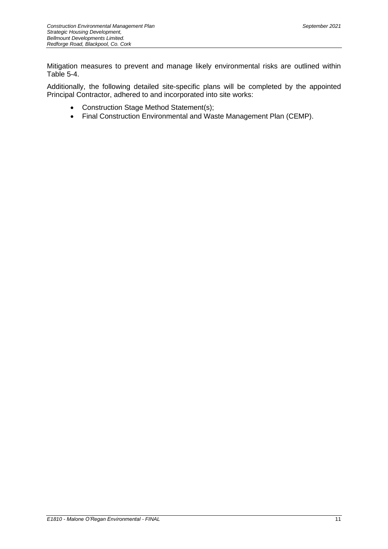Mitigation measures to prevent and manage likely environmental risks are outlined within Table 5-4.

Additionally, the following detailed site-specific plans will be completed by the appointed Principal Contractor, adhered to and incorporated into site works:

- Construction Stage Method Statement(s);
- Final Construction Environmental and Waste Management Plan (CEMP).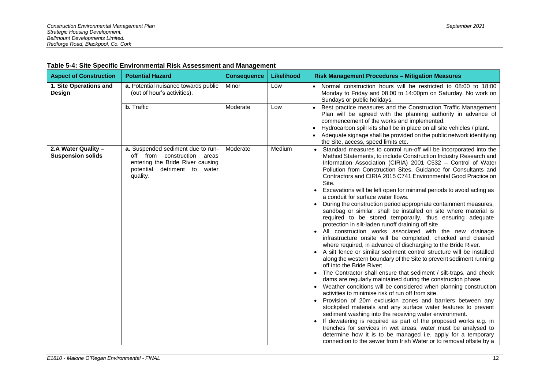<span id="page-17-0"></span>

| <b>Aspect of Construction</b>                   | <b>Potential Hazard</b>                                                                                                                             | <b>Consequence</b> | Likelihood | <b>Risk Management Procedures - Mitigation Measures</b>                                                                                                                                                                                                                                                                                                                                                                                                                                                                                                                                                                                                                                                                                                                                                                                                                                                                                                                                                                                                                                                                                                                                                                                                                                                                                                                                                                                                                                                                                                                                                                                                                                                                                                                                                                                                              |
|-------------------------------------------------|-----------------------------------------------------------------------------------------------------------------------------------------------------|--------------------|------------|----------------------------------------------------------------------------------------------------------------------------------------------------------------------------------------------------------------------------------------------------------------------------------------------------------------------------------------------------------------------------------------------------------------------------------------------------------------------------------------------------------------------------------------------------------------------------------------------------------------------------------------------------------------------------------------------------------------------------------------------------------------------------------------------------------------------------------------------------------------------------------------------------------------------------------------------------------------------------------------------------------------------------------------------------------------------------------------------------------------------------------------------------------------------------------------------------------------------------------------------------------------------------------------------------------------------------------------------------------------------------------------------------------------------------------------------------------------------------------------------------------------------------------------------------------------------------------------------------------------------------------------------------------------------------------------------------------------------------------------------------------------------------------------------------------------------------------------------------------------------|
| 1. Site Operations and<br>Design                | a. Potential nuisance towards public<br>(out of hour's activities).                                                                                 | Minor              | Low        | Normal construction hours will be restricted to 08:00 to 18:00<br>$\bullet$<br>Monday to Friday and 08:00 to 14:00pm on Saturday. No work on<br>Sundays or public holidays.                                                                                                                                                                                                                                                                                                                                                                                                                                                                                                                                                                                                                                                                                                                                                                                                                                                                                                                                                                                                                                                                                                                                                                                                                                                                                                                                                                                                                                                                                                                                                                                                                                                                                          |
|                                                 | b. Traffic                                                                                                                                          | Moderate           | Low        | Best practice measures and the Construction Traffic Management<br>Plan will be agreed with the planning authority in advance of<br>commencement of the works and implemented.<br>Hydrocarbon spill kits shall be in place on all site vehicles / plant.<br>• Adequate signage shall be provided on the public network identifying<br>the Site, access, speed limits etc.                                                                                                                                                                                                                                                                                                                                                                                                                                                                                                                                                                                                                                                                                                                                                                                                                                                                                                                                                                                                                                                                                                                                                                                                                                                                                                                                                                                                                                                                                             |
| 2.A Water Quality -<br><b>Suspension solids</b> | a. Suspended sediment due to run-<br>off from construction areas<br>entering the Bride River causing<br>potential<br>detriment to water<br>quality. | Moderate           | Medium     | Standard measures to control run-off will be incorporated into the<br>Method Statements, to include Construction Industry Research and<br>Information Association (CIRIA) 2001 C532 - Control of Water<br>Pollution from Construction Sites, Guidance for Consultants and<br>Contractors and CIRIA 2015 C741 Environmental Good Practice on<br>Site.<br>Excavations will be left open for minimal periods to avoid acting as<br>a conduit for surface water flows.<br>During the construction period appropriate containment measures,<br>sandbag or similar, shall be installed on site where material is<br>required to be stored temporarily, thus ensuring adequate<br>protection in silt-laden runoff draining off site.<br>• All construction works associated with the new drainage<br>infrastructure onsite will be completed, checked and cleaned<br>where required, in advance of discharging to the Bride River.<br>A silt fence or similar sediment control structure will be installed<br>along the western boundary of the Site to prevent sediment running<br>off into the Bride River;<br>• The Contractor shall ensure that sediment / silt-traps, and check<br>dams are regularly maintained during the construction phase.<br>Weather conditions will be considered when planning construction<br>$\bullet$<br>activities to minimise risk of run off from site.<br>Provision of 20m exclusion zones and barriers between any<br>stockpiled materials and any surface water features to prevent<br>sediment washing into the receiving water environment.<br>If dewatering is required as part of the proposed works e.g. in<br>$\bullet$<br>trenches for services in wet areas, water must be analysed to<br>determine how it is to be managed i.e. apply for a temporary<br>connection to the sewer from Irish Water or to removal offsite by a |

#### **Table 5-4: Site Specific Environmental Risk Assessment and Management**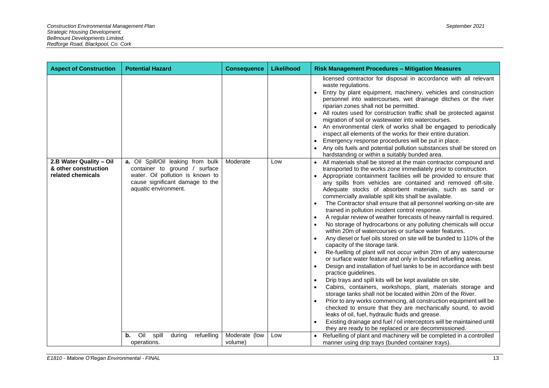| <b>Aspect of Construction</b>             | <b>Potential Hazard</b>                                                                                                      | <b>Consequence</b>       | Likelihood | <b>Risk Management Procedures - Mitigation Measures</b>                                                                                                                                                                                                                                                                                                                                                                                                                                                                                                                                                                                                                                                                                                                                                                                                                                                                                                                                                                                                                                                                                                                                                                                                                                                                                                                                                                                                                                                                                                                                                                 |
|-------------------------------------------|------------------------------------------------------------------------------------------------------------------------------|--------------------------|------------|-------------------------------------------------------------------------------------------------------------------------------------------------------------------------------------------------------------------------------------------------------------------------------------------------------------------------------------------------------------------------------------------------------------------------------------------------------------------------------------------------------------------------------------------------------------------------------------------------------------------------------------------------------------------------------------------------------------------------------------------------------------------------------------------------------------------------------------------------------------------------------------------------------------------------------------------------------------------------------------------------------------------------------------------------------------------------------------------------------------------------------------------------------------------------------------------------------------------------------------------------------------------------------------------------------------------------------------------------------------------------------------------------------------------------------------------------------------------------------------------------------------------------------------------------------------------------------------------------------------------------|
| 2.B Water Quality - Oil                   | a. Oil Spill/Oil leaking from bulk                                                                                           | Moderate                 | Low        | licensed contractor for disposal in accordance with all relevant<br>waste regulations.<br>Entry by plant equipment, machinery, vehicles and construction<br>personnel into watercourses, wet drainage ditches or the river<br>riparian zones shall not be permitted.<br>• All routes used for construction traffic shall be protected against<br>migration of soil or wastewater into watercourses.<br>An environmental clerk of works shall be engaged to periodically<br>inspect all elements of the works for their entire duration.<br>Emergency response procedures will be put in place.<br>Any oils fuels and potential pollution substances shall be stored on<br>hardstanding or within a suitably bunded area.<br>All materials shall be stored at the main contractor compound and                                                                                                                                                                                                                                                                                                                                                                                                                                                                                                                                                                                                                                                                                                                                                                                                                           |
| & other construction<br>related chemicals | container to ground / surface<br>water. Oil pollution is known to<br>cause significant damage to the<br>aquatic environment. |                          |            | transported to the works zone immediately prior to construction.<br>Appropriate containment facilities will be provided to ensure that<br>any spills from vehicles are contained and removed off-site.<br>Adequate stocks of absorbent materials, such as sand or<br>commercially available spill kits shall be available.<br>The Contractor shall ensure that all personnel working on-site are<br>$\bullet$<br>trained in pollution incident control response.<br>A regular review of weather forecasts of heavy rainfall is required.<br>$\bullet$<br>No storage of hydrocarbons or any polluting chemicals will occur<br>$\bullet$<br>within 20m of watercourses or surface water features.<br>Any diesel or fuel oils stored on site will be bunded to 110% of the<br>$\bullet$<br>capacity of the storage tank.<br>Re-fuelling of plant will not occur within 20m of any watercourse<br>or surface water feature and only in bunded refuelling areas.<br>Design and installation of fuel tanks to be in accordance with best<br>$\bullet$<br>practice guidelines.<br>Drip trays and spill kits will be kept available on site.<br>$\bullet$<br>Cabins, containers, workshops, plant, materials storage and<br>$\bullet$<br>storage tanks shall not be located within 20m of the River.<br>Prior to any works commencing, all construction equipment will be<br>checked to ensure that they are mechanically sound, to avoid<br>leaks of oil, fuel, hydraulic fluids and grease.<br>Existing drainage and fuel / oil interceptors will be maintained until<br>they are ready to be replaced or are decommissioned. |
|                                           | Oil<br>spill<br>refuelling<br>during<br>b.<br>operations.                                                                    | Moderate (low<br>volume) | Low        | Refuelling of plant and machinery will be completed in a controlled<br>manner using drip trays (bunded container trays).                                                                                                                                                                                                                                                                                                                                                                                                                                                                                                                                                                                                                                                                                                                                                                                                                                                                                                                                                                                                                                                                                                                                                                                                                                                                                                                                                                                                                                                                                                |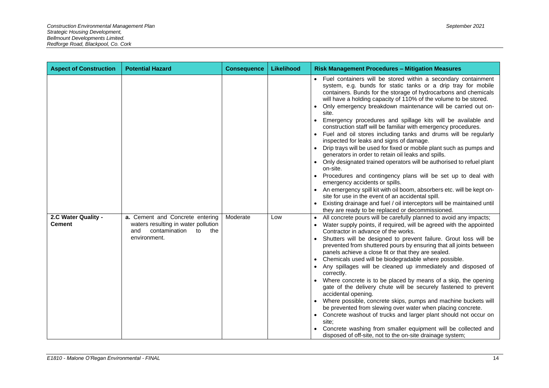| <b>Aspect of Construction</b>        | <b>Potential Hazard</b>                                                                                                     | <b>Consequence</b> | Likelihood | <b>Risk Management Procedures - Mitigation Measures</b>                                                                                                                                                                                                                                                                                                                                                                                                                                                                                                                                                                                                                                                                                                                                                                                                                                                                                                                                                                                                                                                                                                                                                                                                                                                                                                                                                                                                                                                                                                                                                                                                                                                                                                                                                                                                                                                                                                                                                                                                                                                                                                                                                                                           |
|--------------------------------------|-----------------------------------------------------------------------------------------------------------------------------|--------------------|------------|---------------------------------------------------------------------------------------------------------------------------------------------------------------------------------------------------------------------------------------------------------------------------------------------------------------------------------------------------------------------------------------------------------------------------------------------------------------------------------------------------------------------------------------------------------------------------------------------------------------------------------------------------------------------------------------------------------------------------------------------------------------------------------------------------------------------------------------------------------------------------------------------------------------------------------------------------------------------------------------------------------------------------------------------------------------------------------------------------------------------------------------------------------------------------------------------------------------------------------------------------------------------------------------------------------------------------------------------------------------------------------------------------------------------------------------------------------------------------------------------------------------------------------------------------------------------------------------------------------------------------------------------------------------------------------------------------------------------------------------------------------------------------------------------------------------------------------------------------------------------------------------------------------------------------------------------------------------------------------------------------------------------------------------------------------------------------------------------------------------------------------------------------------------------------------------------------------------------------------------------------|
| 2.C Water Quality -<br><b>Cement</b> | a. Cement and Concrete entering<br>waters resulting in water pollution<br>contamination<br>to<br>the<br>and<br>environment. | Moderate           | Low        | • Fuel containers will be stored within a secondary containment<br>system, e.g. bunds for static tanks or a drip tray for mobile<br>containers. Bunds for the storage of hydrocarbons and chemicals<br>will have a holding capacity of 110% of the volume to be stored.<br>Only emergency breakdown maintenance will be carried out on-<br>site.<br>Emergency procedures and spillage kits will be available and<br>$\bullet$<br>construction staff will be familiar with emergency procedures.<br>Fuel and oil stores including tanks and drums will be regularly<br>inspected for leaks and signs of damage.<br>Drip trays will be used for fixed or mobile plant such as pumps and<br>generators in order to retain oil leaks and spills.<br>Only designated trained operators will be authorised to refuel plant<br>on-site.<br>Procedures and contingency plans will be set up to deal with<br>emergency accidents or spills.<br>An emergency spill kit with oil boom, absorbers etc. will be kept on-<br>site for use in the event of an accidental spill.<br>Existing drainage and fuel / oil interceptors will be maintained until<br>they are ready to be replaced or decommissioned.<br>All concrete pours will be carefully planned to avoid any impacts;<br>$\bullet$<br>Water supply points, if required, will be agreed with the appointed<br>Contractor in advance of the works.<br>Shutters will be designed to prevent failure. Grout loss will be<br>prevented from shuttered pours by ensuring that all joints between<br>panels achieve a close fit or that they are sealed.<br>• Chemicals used will be biodegradable where possible.<br>Any spillages will be cleaned up immediately and disposed of<br>correctly.<br>Where concrete is to be placed by means of a skip, the opening<br>gate of the delivery chute will be securely fastened to prevent<br>accidental opening.<br>Where possible, concrete skips, pumps and machine buckets will<br>be prevented from slewing over water when placing concrete.<br>• Concrete washout of trucks and larger plant should not occur on<br>site:<br>Concrete washing from smaller equipment will be collected and<br>disposed of off-site, not to the on-site drainage system; |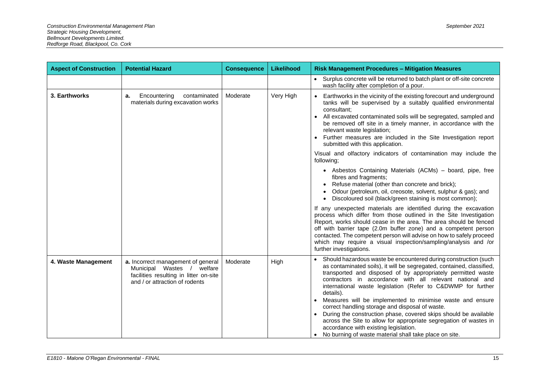| <b>Aspect of Construction</b> | <b>Potential Hazard</b>                                                                                                                         | <b>Consequence</b> | <b>Likelihood</b> | <b>Risk Management Procedures - Mitigation Measures</b>                                                                                                                                                                                                                                                                                                                                                                                                                                                                                                                                                                                                                                                                                   |
|-------------------------------|-------------------------------------------------------------------------------------------------------------------------------------------------|--------------------|-------------------|-------------------------------------------------------------------------------------------------------------------------------------------------------------------------------------------------------------------------------------------------------------------------------------------------------------------------------------------------------------------------------------------------------------------------------------------------------------------------------------------------------------------------------------------------------------------------------------------------------------------------------------------------------------------------------------------------------------------------------------------|
|                               |                                                                                                                                                 |                    |                   | • Surplus concrete will be returned to batch plant or off-site concrete<br>wash facility after completion of a pour.                                                                                                                                                                                                                                                                                                                                                                                                                                                                                                                                                                                                                      |
| 3. Earthworks                 | Encountering<br>contaminated<br>а.<br>materials during excavation works                                                                         | Moderate           | Very High         | Earthworks in the vicinity of the existing forecourt and underground<br>tanks will be supervised by a suitably qualified environmental<br>consultant:<br>All excavated contaminated soils will be segregated, sampled and<br>$\bullet$<br>be removed off site in a timely manner, in accordance with the<br>relevant waste legislation;<br>• Further measures are included in the Site Investigation report<br>submitted with this application.<br>Visual and olfactory indicators of contamination may include the                                                                                                                                                                                                                       |
|                               |                                                                                                                                                 |                    |                   | following;<br>• Asbestos Containing Materials (ACMs) - board, pipe, free<br>fibres and fragments;<br>Refuse material (other than concrete and brick);<br>Odour (petroleum, oil, creosote, solvent, sulphur & gas); and<br>Discoloured soil (black/green staining is most common);<br>If any unexpected materials are identified during the excavation                                                                                                                                                                                                                                                                                                                                                                                     |
|                               |                                                                                                                                                 |                    |                   | process which differ from those outlined in the Site Investigation<br>Report, works should cease in the area. The area should be fenced<br>off with barrier tape (2.0m buffer zone) and a competent person<br>contacted. The competent person will advise on how to safely proceed<br>which may require a visual inspection/sampling/analysis and /or<br>further investigations.                                                                                                                                                                                                                                                                                                                                                          |
| 4. Waste Management           | a. Incorrect management of general<br>Municipal Wastes /<br>welfare<br>facilities resulting in litter on-site<br>and / or attraction of rodents | Moderate           | High              | • Should hazardous waste be encountered during construction (such<br>as contaminated soils), it will be segregated, contained, classified,<br>transported and disposed of by appropriately permitted waste<br>contractors in accordance with all relevant national and<br>international waste legislation (Refer to C&DWMP for further<br>details).<br>Measures will be implemented to minimise waste and ensure<br>$\bullet$<br>correct handling storage and disposal of waste.<br>During the construction phase, covered skips should be available<br>$\bullet$<br>across the Site to allow for appropriate segregation of wastes in<br>accordance with existing legislation.<br>No burning of waste material shall take place on site. |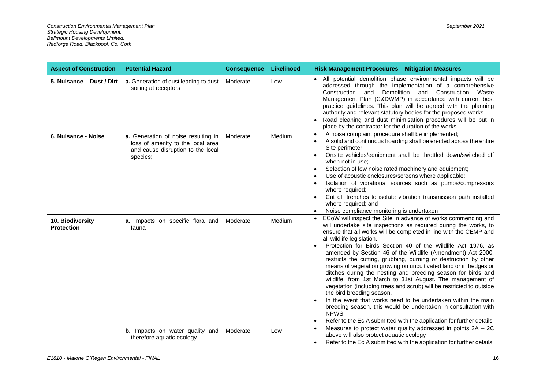| <b>Aspect of Construction</b>         | <b>Potential Hazard</b>                                                                                                          | <b>Consequence</b> | Likelihood | <b>Risk Management Procedures - Mitigation Measures</b>                                                                                                                                                                                                                                                                                                                                                                                                                                                                                                                                                                                                                                                                                                                                                                                                                                                                                                                                      |
|---------------------------------------|----------------------------------------------------------------------------------------------------------------------------------|--------------------|------------|----------------------------------------------------------------------------------------------------------------------------------------------------------------------------------------------------------------------------------------------------------------------------------------------------------------------------------------------------------------------------------------------------------------------------------------------------------------------------------------------------------------------------------------------------------------------------------------------------------------------------------------------------------------------------------------------------------------------------------------------------------------------------------------------------------------------------------------------------------------------------------------------------------------------------------------------------------------------------------------------|
| 5. Nuisance - Dust / Dirt             | a. Generation of dust leading to dust<br>soiling at receptors                                                                    | Moderate           | Low        | • All potential demolition phase environmental impacts will be<br>addressed through the implementation of a comprehensive<br>Demolition and Construction Waste<br>Construction and<br>Management Plan (C&DWMP) in accordance with current best<br>practice guidelines. This plan will be agreed with the planning<br>authority and relevant statutory bodies for the proposed works.<br>Road cleaning and dust minimisation procedures will be put in<br>place by the contractor for the duration of the works                                                                                                                                                                                                                                                                                                                                                                                                                                                                               |
| 6. Nuisance - Noise                   | <b>a.</b> Generation of noise resulting in<br>loss of amenity to the local area<br>and cause disruption to the local<br>species; | Moderate           | Medium     | A noise complaint procedure shall be implemented;<br>$\bullet$<br>A solid and continuous hoarding shall be erected across the entire<br>$\bullet$<br>Site perimeter;<br>Onsite vehicles/equipment shall be throttled down/switched off<br>$\bullet$<br>when not in use;<br>Selection of low noise rated machinery and equipment;<br>$\bullet$<br>Use of acoustic enclosures/screens where applicable;<br>Isolation of vibrational sources such as pumps/compressors<br>where required;<br>Cut off trenches to isolate vibration transmission path installed<br>$\bullet$<br>where required; and<br>Noise compliance monitoring is undertaken<br>$\bullet$                                                                                                                                                                                                                                                                                                                                    |
| 10. Biodiversity<br><b>Protection</b> | a. Impacts on specific flora and<br>fauna                                                                                        | Moderate           | Medium     | ECoW will inspect the Site in advance of works commencing and<br>will undertake site inspections as required during the works, to<br>ensure that all works will be completed in line with the CEMP and<br>all wildlife legislation.<br>Protection for Birds Section 40 of the Wildlife Act 1976, as<br>$\bullet$<br>amended by Section 46 of the Wildlife (Amendment) Act 2000,<br>restricts the cutting, grubbing, burning or destruction by other<br>means of vegetation growing on uncultivated land or in hedges or<br>ditches during the nesting and breeding season for birds and<br>wildlife, from 1st March to 31st August. The management of<br>vegetation (including trees and scrub) will be restricted to outside<br>the bird breeding season.<br>In the event that works need to be undertaken within the main<br>breeding season, this would be undertaken in consultation with<br>NPWS.<br>Refer to the EcIA submitted with the application for further details.<br>$\bullet$ |
|                                       | <b>b.</b> Impacts on water quality and<br>therefore aquatic ecology                                                              | Moderate           | Low        | Measures to protect water quality addressed in points $2A - 2C$<br>$\bullet$<br>above will also protect aquatic ecology<br>Refer to the EcIA submitted with the application for further details.<br>$\bullet$                                                                                                                                                                                                                                                                                                                                                                                                                                                                                                                                                                                                                                                                                                                                                                                |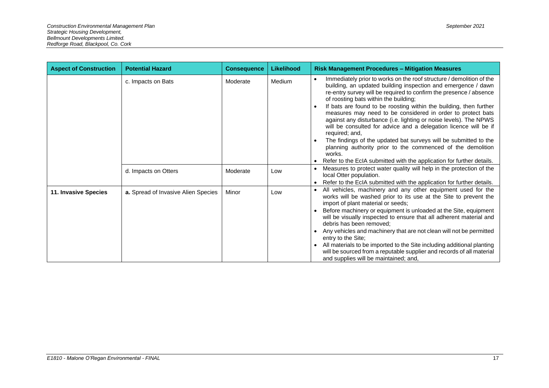| <b>Aspect of Construction</b> | <b>Potential Hazard</b>             | <b>Consequence</b> | <b>Likelihood</b> | <b>Risk Management Procedures - Mitigation Measures</b>                                                                                                                                                                                                                                                                                                                                                                                                                                                                                                                                                                                                                                                                                                                                                           |
|-------------------------------|-------------------------------------|--------------------|-------------------|-------------------------------------------------------------------------------------------------------------------------------------------------------------------------------------------------------------------------------------------------------------------------------------------------------------------------------------------------------------------------------------------------------------------------------------------------------------------------------------------------------------------------------------------------------------------------------------------------------------------------------------------------------------------------------------------------------------------------------------------------------------------------------------------------------------------|
|                               | c. Impacts on Bats                  | Moderate           | Medium            | Immediately prior to works on the roof structure / demolition of the<br>$\bullet$<br>building, an updated building inspection and emergence / dawn<br>re-entry survey will be required to confirm the presence / absence<br>of roosting bats within the building;<br>If bats are found to be roosting within the building, then further<br>$\bullet$<br>measures may need to be considered in order to protect bats<br>against any disturbance (i.e. lighting or noise levels). The NPWS<br>will be consulted for advice and a delegation licence will be if<br>required; and,<br>The findings of the updated bat surveys will be submitted to the<br>$\bullet$<br>planning authority prior to the commenced of the demolition<br>works.<br>Refer to the EcIA submitted with the application for further details. |
|                               | d. Impacts on Otters                | Moderate           | Low               | Measures to protect water quality will help in the protection of the<br>local Otter population.<br>Refer to the EcIA submitted with the application for further details.                                                                                                                                                                                                                                                                                                                                                                                                                                                                                                                                                                                                                                          |
| 11. Invasive Species          | a. Spread of Invasive Alien Species | Minor              | Low               | All vehicles, machinery and any other equipment used for the<br>works will be washed prior to its use at the Site to prevent the<br>import of plant material or seeds;<br>Before machinery or equipment is unloaded at the Site, equipment<br>$\bullet$<br>will be visually inspected to ensure that all adherent material and<br>debris has been removed;<br>Any vehicles and machinery that are not clean will not be permitted<br>$\bullet$<br>entry to the Site:<br>All materials to be imported to the Site including additional planting<br>$\bullet$<br>will be sourced from a reputable supplier and records of all material<br>and supplies will be maintained; and,                                                                                                                                     |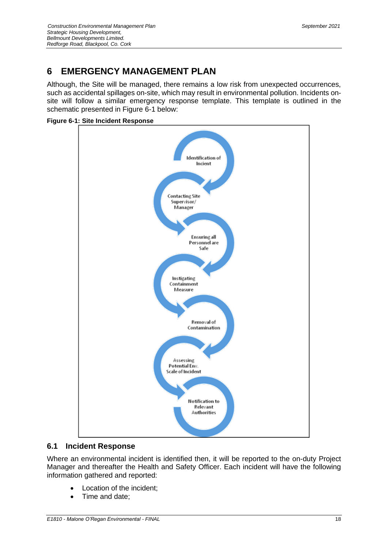# <span id="page-23-0"></span>**6 EMERGENCY MANAGEMENT PLAN**

Although, the Site will be managed, there remains a low risk from unexpected occurrences, such as accidental spillages on-site, which may result in environmental pollution. Incidents onsite will follow a similar emergency response template. This template is outlined in the schematic presented in Figure 6-1 below:

<span id="page-23-2"></span>**Figure 6-1: Site Incident Response**



#### <span id="page-23-1"></span>**6.1 Incident Response**

Where an environmental incident is identified then, it will be reported to the on-duty Project Manager and thereafter the Health and Safety Officer. Each incident will have the following information gathered and reported:

- Location of the incident;
- Time and date: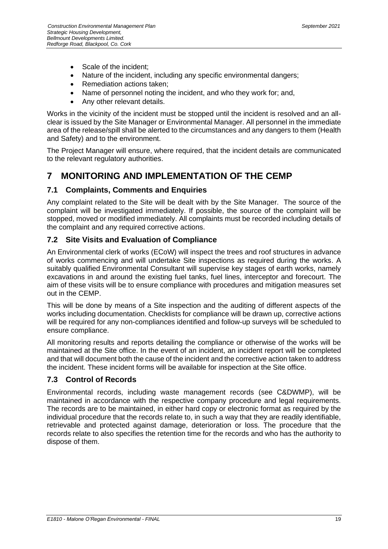- Scale of the incident;
- Nature of the incident, including any specific environmental dangers;
- Remediation actions taken:
- Name of personnel noting the incident, and who they work for; and,
- Any other relevant details.

Works in the vicinity of the incident must be stopped until the incident is resolved and an allclear is issued by the Site Manager or Environmental Manager. All personnel in the immediate area of the release/spill shall be alerted to the circumstances and any dangers to them (Health and Safety) and to the environment.

The Project Manager will ensure, where required, that the incident details are communicated to the relevant regulatory authorities.

# <span id="page-24-0"></span>**7 MONITORING AND IMPLEMENTATION OF THE CEMP**

## <span id="page-24-1"></span>**7.1 Complaints, Comments and Enquiries**

Any complaint related to the Site will be dealt with by the Site Manager. The source of the complaint will be investigated immediately. If possible, the source of the complaint will be stopped, moved or modified immediately. All complaints must be recorded including details of the complaint and any required corrective actions.

## <span id="page-24-2"></span>**7.2 Site Visits and Evaluation of Compliance**

An Environmental clerk of works (ECoW) will inspect the trees and roof structures in advance of works commencing and will undertake Site inspections as required during the works. A suitably qualified Environmental Consultant will supervise key stages of earth works, namely excavations in and around the existing fuel tanks, fuel lines, interceptor and forecourt. The aim of these visits will be to ensure compliance with procedures and mitigation measures set out in the CEMP.

This will be done by means of a Site inspection and the auditing of different aspects of the works including documentation. Checklists for compliance will be drawn up, corrective actions will be required for any non-compliances identified and follow-up surveys will be scheduled to ensure compliance.

All monitoring results and reports detailing the compliance or otherwise of the works will be maintained at the Site office. In the event of an incident, an incident report will be completed and that will document both the cause of the incident and the corrective action taken to address the incident. These incident forms will be available for inspection at the Site office.

# <span id="page-24-3"></span>**7.3 Control of Records**

Environmental records, including waste management records (see C&DWMP), will be maintained in accordance with the respective company procedure and legal requirements. The records are to be maintained, in either hard copy or electronic format as required by the individual procedure that the records relate to, in such a way that they are readily identifiable, retrievable and protected against damage, deterioration or loss. The procedure that the records relate to also specifies the retention time for the records and who has the authority to dispose of them.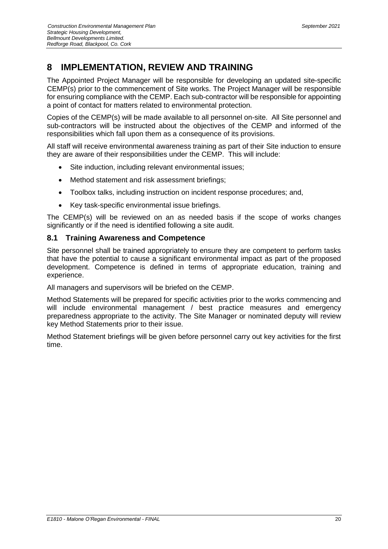# <span id="page-25-0"></span>**8 IMPLEMENTATION, REVIEW AND TRAINING**

The Appointed Project Manager will be responsible for developing an updated site-specific CEMP(s) prior to the commencement of Site works. The Project Manager will be responsible for ensuring compliance with the CEMP. Each sub-contractor will be responsible for appointing a point of contact for matters related to environmental protection.

Copies of the CEMP(s) will be made available to all personnel on-site. All Site personnel and sub-contractors will be instructed about the objectives of the CEMP and informed of the responsibilities which fall upon them as a consequence of its provisions.

All staff will receive environmental awareness training as part of their Site induction to ensure they are aware of their responsibilities under the CEMP. This will include:

- Site induction, including relevant environmental issues;
- Method statement and risk assessment briefings;
- Toolbox talks, including instruction on incident response procedures; and,
- Key task-specific environmental issue briefings.

The CEMP(s) will be reviewed on an as needed basis if the scope of works changes significantly or if the need is identified following a site audit.

#### <span id="page-25-1"></span>**8.1 Training Awareness and Competence**

Site personnel shall be trained appropriately to ensure they are competent to perform tasks that have the potential to cause a significant environmental impact as part of the proposed development. Competence is defined in terms of appropriate education, training and experience.

All managers and supervisors will be briefed on the CEMP.

Method Statements will be prepared for specific activities prior to the works commencing and will include environmental management / best practice measures and emergency preparedness appropriate to the activity. The Site Manager or nominated deputy will review key Method Statements prior to their issue.

Method Statement briefings will be given before personnel carry out key activities for the first time.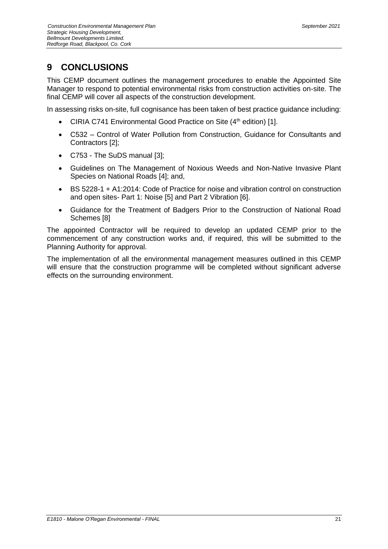# <span id="page-26-0"></span>**9 CONCLUSIONS**

This CEMP document outlines the management procedures to enable the Appointed Site Manager to respond to potential environmental risks from construction activities on-site. The final CEMP will cover all aspects of the construction development.

In assessing risks on-site, full cognisance has been taken of best practice guidance including:

- CIRIA C741 Environmental Good Practice on Site  $(4<sup>th</sup>$  edition) [1].
- C532 Control of Water Pollution from Construction, Guidance for Consultants and Contractors [2];
- C753 The SuDS manual [3];
- Guidelines on The Management of Noxious Weeds and Non-Native Invasive Plant Species on National Roads [4]; and,
- BS 5228-1 + A1:2014: Code of Practice for noise and vibration control on construction and open sites- Part 1: Noise [5] and Part 2 Vibration [6].
- Guidance for the Treatment of Badgers Prior to the Construction of National Road Schemes [8]

The appointed Contractor will be required to develop an updated CEMP prior to the commencement of any construction works and, if required, this will be submitted to the Planning Authority for approval.

The implementation of all the environmental management measures outlined in this CEMP will ensure that the construction programme will be completed without significant adverse effects on the surrounding environment.